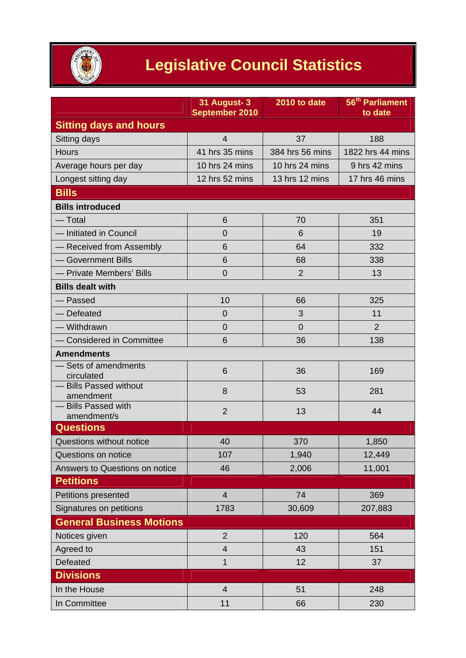

## **Legislative Council Statistics**

|                                          | 31 August-3<br>September 2010 | 2010 to date    | 56 <sup>th</sup> Parliament<br>to date |
|------------------------------------------|-------------------------------|-----------------|----------------------------------------|
| <b>Sitting days and hours</b>            |                               |                 |                                        |
| Sitting days                             | $\overline{4}$                | 37              | 188                                    |
| Hours                                    | 41 hrs 35 mins                | 384 hrs 56 mins | 1822 hrs 44 mins                       |
| Average hours per day                    | 10 hrs 24 mins                | 10 hrs 24 mins  | 9 hrs 42 mins                          |
| Longest sitting day                      | 12 hrs 52 mins                | 13 hrs 12 mins  | 17 hrs 46 mins                         |
| <b>Bills</b>                             |                               |                 |                                        |
| <b>Bills introduced</b>                  |                               |                 |                                        |
| $-$ Total                                | 6                             | 70              | 351                                    |
| - Initiated in Council                   | $\overline{0}$                | 6               | 19                                     |
| - Received from Assembly                 | 6                             | 64              | 332                                    |
| - Government Bills                       | 6                             | 68              | 338                                    |
| - Private Members' Bills                 | $\overline{0}$                | $\overline{2}$  | 13                                     |
| <b>Bills dealt with</b>                  |                               |                 |                                        |
| Passed                                   | 10                            | 66              | 325                                    |
| - Defeated                               | $\overline{0}$                | 3               | 11                                     |
| - Withdrawn                              | $\overline{0}$                | $\overline{0}$  | $\overline{2}$                         |
| <b>Considered in Committee</b>           | 6                             | 36              | 138                                    |
| <b>Amendments</b>                        |                               |                 |                                        |
| Sets of amendments<br>circulated         | 6                             | 36              | 169                                    |
| <b>Bills Passed without</b><br>amendment | 8                             | 53              | 281                                    |
| - Bills Passed with<br>amendment/s       | $\overline{2}$                | 13              | 44                                     |
| <b>Questions</b>                         |                               |                 |                                        |
| Questions without notice                 | 40                            | 370             | 1,850                                  |
| Questions on notice                      | 107                           | 1,940           | 12,449                                 |
| Answers to Questions on notice           | 46                            | 2,006           | 11,001                                 |
| <b>Petitions</b>                         |                               |                 |                                        |
| Petitions presented                      | $\overline{4}$                | 74              | 369                                    |
| Signatures on petitions                  | 1783                          | 30,609          | 207,883                                |
| <b>General Business Motions</b>          |                               |                 |                                        |
| Notices given                            | $\overline{2}$                | 120             | 564                                    |
| Agreed to                                | $\overline{4}$                | 43              | 151                                    |
| Defeated                                 | $\mathbf 1$                   | 12              | 37                                     |
| <b>Divisions</b>                         |                               |                 |                                        |
| In the House                             | $\overline{4}$                | 51              | 248                                    |
| In Committee                             | 11                            | 66              | 230                                    |